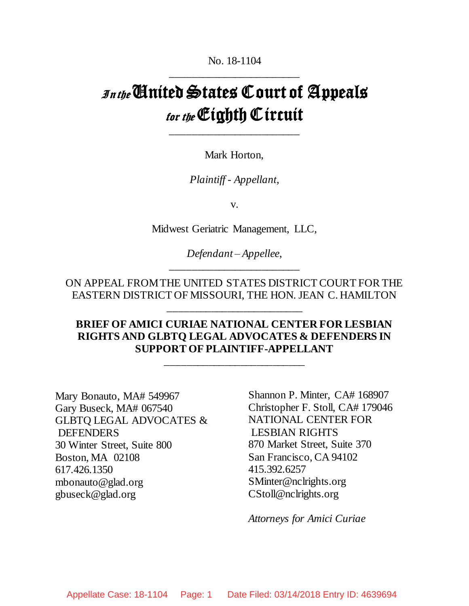No. 18-1104 \_\_\_\_\_\_\_\_\_\_\_\_\_\_\_\_\_\_\_\_\_\_\_\_

# $I_{\text{Inthe}}$  Cinited States Court of Appeals for the Cighth Circuit

Mark Horton,

\_\_\_\_\_\_\_\_\_\_\_\_\_\_\_\_\_\_\_\_\_\_\_\_

*Plaintiff - Appellant*,

v.

Midwest Geriatric Management, LLC,

*Defendant – Appellee*, \_\_\_\_\_\_\_\_\_\_\_\_\_\_\_\_\_\_\_\_\_\_\_\_

ON APPEAL FROM THE UNITED STATES DISTRICT COURT FOR THE EASTERN DISTRICT OF MISSOURI, THE HON. JEAN C. HAMILTON

\_\_\_\_\_\_\_\_\_\_\_\_\_\_\_\_\_\_\_\_\_\_\_\_\_

# **BRIEF OF AMICI CURIAE NATIONAL CENTER FOR LESBIAN RIGHTS AND GLBTQ LEGAL ADVOCATES & DEFENDERS IN SUPPORT OF PLAINTIFF-APPELLANT**

\_\_\_\_\_\_\_\_\_\_\_\_\_\_\_\_\_\_\_\_\_\_\_\_\_\_

Mary Bonauto, MA# 549967 Gary Buseck, MA# 067540 GLBTQ LEGAL ADVOCATES & DEFENDERS 30 Winter Street, Suite 800 Boston, MA 02108 617.426.1350 mbonauto@glad.org gbuseck@glad.org

Shannon P. Minter, CA# 168907 Christopher F. Stoll, CA# 179046 NATIONAL CENTER FOR LESBIAN RIGHTS 870 Market Street, Suite 370 San Francisco, CA 94102 415.392.6257 SMinter@nclrights.org CStoll@nclrights.org

*Attorneys for Amici Curiae*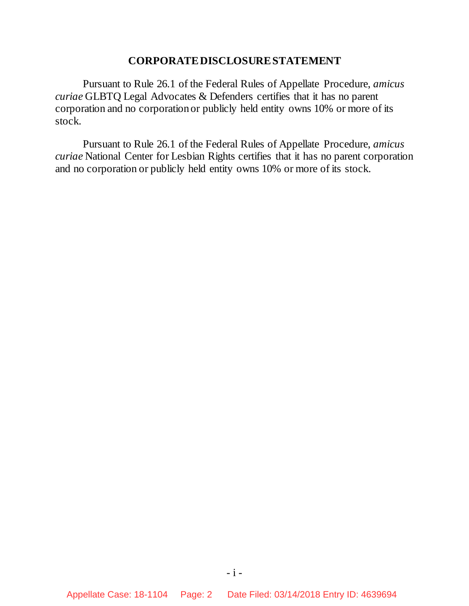## **CORPORATE DISCLOSURE STATEMENT**

Pursuant to Rule 26.1 of the Federal Rules of Appellate Procedure, *amicus curiae* GLBTQ Legal Advocates & Defenders certifies that it has no parent corporation and no corporation or publicly held entity owns 10% or more of its stock.

Pursuant to Rule 26.1 of the Federal Rules of Appellate Procedure, *amicus curiae* National Center for Lesbian Rights certifies that it has no parent corporation and no corporation or publicly held entity owns 10% or more of its stock.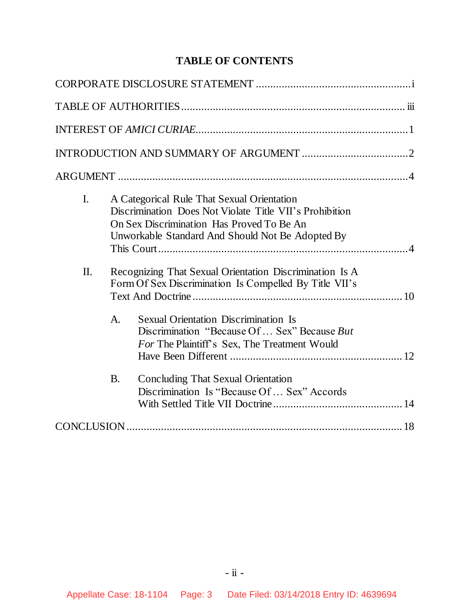# **TABLE OF CONTENTS**

| I.  | A Categorical Rule That Sexual Orientation<br>Discrimination Does Not Violate Title VII's Prohibition<br>On Sex Discrimination Has Proved To Be An<br>Unworkable Standard And Should Not Be Adopted By                                                                 |
|-----|------------------------------------------------------------------------------------------------------------------------------------------------------------------------------------------------------------------------------------------------------------------------|
| II. | Recognizing That Sexual Orientation Discrimination Is A<br>Form Of Sex Discrimination Is Compelled By Title VII's<br>A.<br><b>Sexual Orientation Discrimination Is</b><br>Discrimination "Because Of  Sex" Because But<br>For The Plaintiff's Sex, The Treatment Would |
|     | <b>Concluding That Sexual Orientation</b><br>B.<br>Discrimination Is "Because Of  Sex" Accords                                                                                                                                                                         |
|     |                                                                                                                                                                                                                                                                        |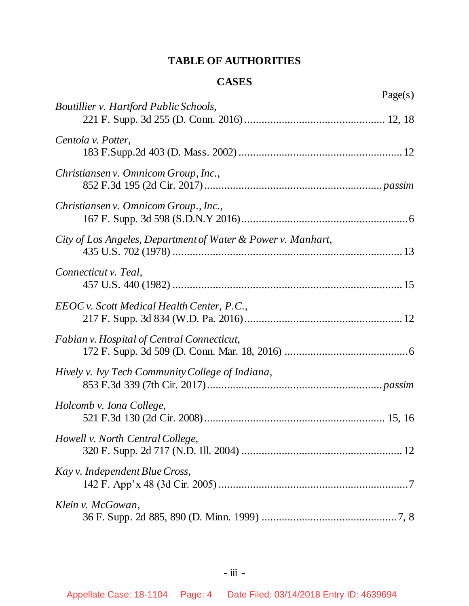# **TABLE OF AUTHORITIES**

# **CASES**

|                                                              | Page(s) |
|--------------------------------------------------------------|---------|
| <b>Boutillier v. Hartford Public Schools,</b>                |         |
| Centola v. Potter,                                           |         |
| Christiansen v. Omnicom Group, Inc.,                         |         |
| Christiansen v. Omnicom Group., Inc.,                        |         |
| City of Los Angeles, Department of Water & Power v. Manhart, |         |
| Connecticut v. Teal,                                         |         |
| EEOC v. Scott Medical Health Center, P.C.,                   |         |
| Fabian v. Hospital of Central Connecticut,                   |         |
| Hively v. Ivy Tech Community College of Indiana,             |         |
| Holcomb v. Iona College,                                     |         |
| Howell v. North Central College,                             |         |
| Kay v. Independent Blue Cross,                               |         |
| Klein v. McGowan,                                            |         |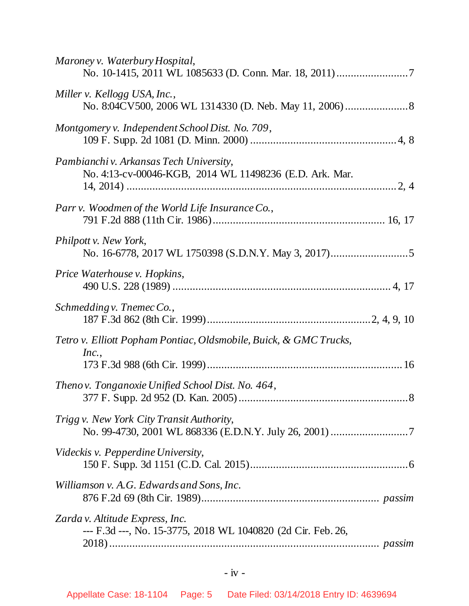| Maroney v. Waterbury Hospital,                                                                     |
|----------------------------------------------------------------------------------------------------|
| Miller v. Kellogg USA, Inc.,                                                                       |
| Montgomery v. Independent School Dist. No. 709,                                                    |
| Pambianchi v. Arkansas Tech University,<br>No. 4:13-cv-00046-KGB, 2014 WL 11498236 (E.D. Ark. Mar. |
| Parr v. Woodmen of the World Life Insurance Co.,                                                   |
| Philpott v. New York,                                                                              |
| Price Waterhouse v. Hopkins,                                                                       |
| Schmedding v. Tnemec Co.,                                                                          |
| Tetro v. Elliott Popham Pontiac, Oldsmobile, Buick, & GMC Trucks,<br>Inc.,                         |
| Thenov. Tonganoxie Unified School Dist. No. 464,<br>$\boldsymbol{.8}$                              |
| Trigg v. New York City Transit Authority,                                                          |
| Videckis v. Pepperdine University,                                                                 |
| Williamson v. A.G. Edwards and Sons, Inc.                                                          |
| Zarda v. Altitude Express, Inc.<br>--- F.3d ---, No. 15-3775, 2018 WL 1040820 (2d Cir. Feb. 26,    |
|                                                                                                    |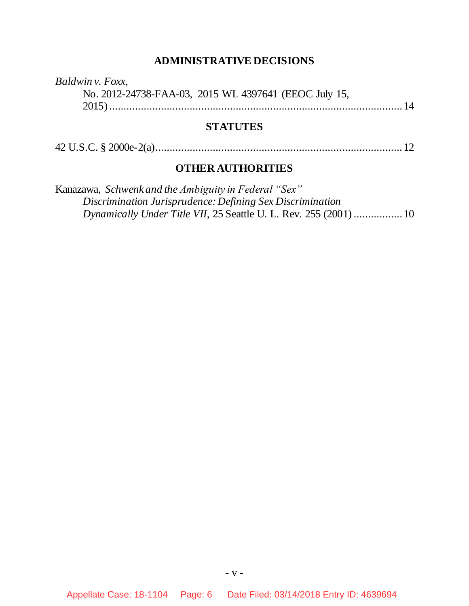# **ADMINISTRATIVE DECISIONS**

*Baldwin v. Foxx*, No. 2012-24738-FAA-03, 2015 WL 4397641 (EEOC July 15, 2015)......................................................................................................14

## **STATUTES**

|--|--|--|

## **OTHER AUTHORITIES**

| Kanazawa, Schwenk and the Ambiguity in Federal "Sex"              |  |
|-------------------------------------------------------------------|--|
| Discrimination Jurisprudence: Defining Sex Discrimination         |  |
| Dynamically Under Title VII, 25 Seattle U. L. Rev. 255 (2001)  10 |  |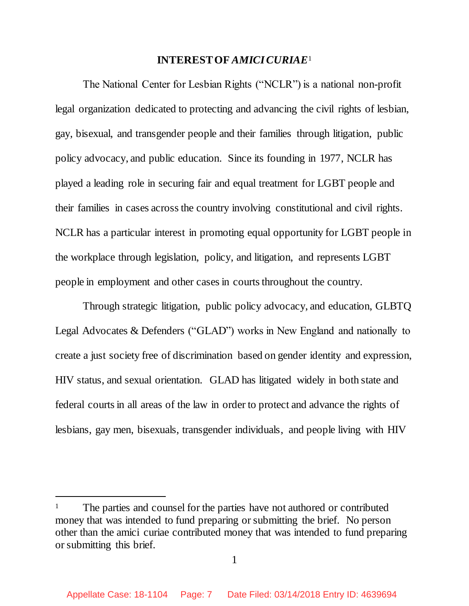## **INTEREST OF** *AMICICURIAE*<sup>1</sup>

The National Center for Lesbian Rights ("NCLR") is a national non-profit legal organization dedicated to protecting and advancing the civil rights of lesbian, gay, bisexual, and transgender people and their families through litigation, public policy advocacy, and public education. Since its founding in 1977, NCLR has played a leading role in securing fair and equal treatment for LGBT people and their families in cases across the country involving constitutional and civil rights. NCLR has a particular interest in promoting equal opportunity for LGBT people in the workplace through legislation, policy, and litigation, and represents LGBT people in employment and other cases in courts throughout the country.

Through strategic litigation, public policy advocacy, and education, GLBTQ Legal Advocates & Defenders ("GLAD") works in New England and nationally to create a just society free of discrimination based on gender identity and expression, HIV status, and sexual orientation. GLAD has litigated widely in both state and federal courts in all areas of the law in order to protect and advance the rights of lesbians, gay men, bisexuals, transgender individuals, and people living with HIV

l

<sup>&</sup>lt;sup>1</sup> The parties and counsel for the parties have not authored or contributed money that was intended to fund preparing or submitting the brief. No person other than the amici curiae contributed money that was intended to fund preparing or submitting this brief.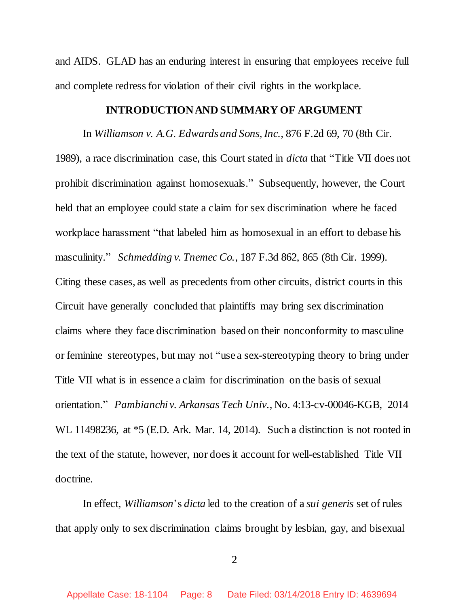and AIDS. GLAD has an enduring interest in ensuring that employees receive full and complete redress for violation of their civil rights in the workplace.

#### **INTRODUCTION AND SUMMARY OF ARGUMENT**

In *Williamson v. A.G. Edwards and Sons, Inc.,* 876 F.2d 69, 70 (8th Cir. 1989), a race discrimination case, this Court stated in *dicta* that "Title VII does not prohibit discrimination against homosexuals." Subsequently, however, the Court held that an employee could state a claim for sex discrimination where he faced workplace harassment "that labeled him as homosexual in an effort to debase his masculinity." *Schmedding v. Tnemec Co.*, 187 F.3d 862, 865 (8th Cir. 1999). Citing these cases, as well as precedents from other circuits, district courts in this Circuit have generally concluded that plaintiffs may bring sex discrimination claims where they face discrimination based on their nonconformity to masculine or feminine stereotypes, but may not "use a sex-stereotyping theory to bring under Title VII what is in essence a claim for discrimination on the basis of sexual orientation." *Pambianchi v. Arkansas Tech Univ.*, No. 4:13-cv-00046-KGB, 2014 WL 11498236, at  $*5$  (E.D. Ark. Mar. 14, 2014). Such a distinction is not rooted in the text of the statute, however, nor doesit account for well-established Title VII doctrine.

In effect, *Williamson*'s *dicta* led to the creation of a *sui generis* set of rules that apply only to sex discrimination claims brought by lesbian, gay, and bisexual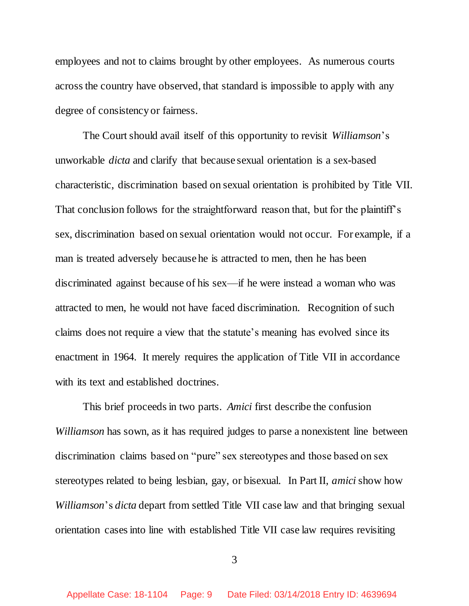employees and not to claims brought by other employees. As numerous courts across the country have observed, that standard is impossible to apply with any degree of consistency or fairness.

The Court should avail itself of this opportunity to revisit *Williamson*'s unworkable *dicta* and clarify that because sexual orientation is a sex-based characteristic, discrimination based on sexual orientation is prohibited by Title VII. That conclusion follows for the straightforward reason that, but for the plaintiff's sex, discrimination based on sexual orientation would not occur. For example, if a man is treated adversely because he is attracted to men, then he has been discriminated against because of his sex—if he were instead a woman who was attracted to men, he would not have faced discrimination. Recognition of such claims does not require a view that the statute's meaning has evolved since its enactment in 1964. It merely requires the application of Title VII in accordance with its text and established doctrines.

This brief proceeds in two parts. *Amici* first describe the confusion *Williamson* has sown, as it has required judges to parse a nonexistent line between discrimination claims based on "pure" sex stereotypes and those based on sex stereotypes related to being lesbian, gay, or bisexual. In Part II, *amici* show how *Williamson*'s *dicta* depart from settled Title VII case law and that bringing sexual orientation cases into line with established Title VII case law requires revisiting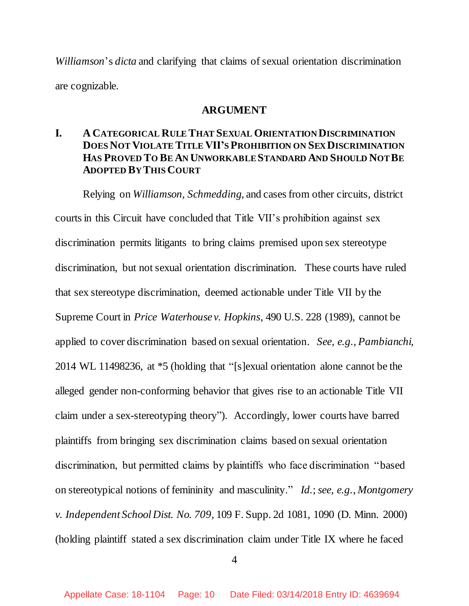*Williamson*'s *dicta* and clarifying that claims of sexual orientation discrimination are cognizable.

### **ARGUMENT**

## **I. A CATEGORICAL RULE THAT SEXUAL ORIENTATION DISCRIMINATION DOES NOT VIOLATE TITLE VII'S PROHIBITION ON SEX DISCRIMINATION HAS PROVED TO BE AN UNWORKABLE STANDARD AND SHOULD NOT BE ADOPTED BY THIS COURT**

Relying on *Williamson, Schmedding*, and cases from other circuits, district courts in this Circuit have concluded that Title VII's prohibition against sex discrimination permits litigants to bring claims premised upon sex stereotype discrimination, but not sexual orientation discrimination. These courts have ruled that sex stereotype discrimination, deemed actionable under Title VII by the Supreme Court in *Price Waterhouse v. Hopkins*, 490 U.S. 228 (1989), cannot be applied to cover discrimination based on sexual orientation. *See, e.g., Pambianchi,* 2014 WL 11498236, at \*5 (holding that "[s]exual orientation alone cannot be the alleged gender non-conforming behavior that gives rise to an actionable Title VII claim under a sex-stereotyping theory"). Accordingly, lower courts have barred plaintiffs from bringing sex discrimination claims based on sexual orientation discrimination, but permitted claims by plaintiffs who face discrimination "based on stereotypical notions of femininity and masculinity." *Id.*; *see, e.g.*, *Montgomery v. Independent School Dist. No. 709,* 109 F. Supp. 2d 1081, 1090 (D. Minn. 2000) (holding plaintiff stated a sex discrimination claim under Title IX where he faced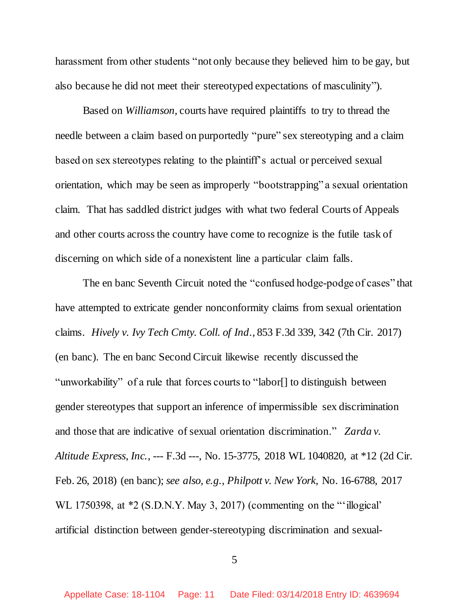harassment from other students "not only because they believed him to be gay, but also because he did not meet their stereotyped expectations of masculinity").

Based on *Williamson,* courts have required plaintiffs to try to thread the needle between a claim based on purportedly "pure" sex stereotyping and a claim based on sex stereotypes relating to the plaintiff's actual or perceived sexual orientation, which may be seen as improperly "bootstrapping" a sexual orientation claim. That has saddled district judges with what two federal Courts of Appeals and other courts across the country have come to recognize is the futile task of discerning on which side of a nonexistent line a particular claim falls.

The en banc Seventh Circuit noted the "confused hodge-podge of cases" that have attempted to extricate gender nonconformity claims from sexual orientation claims. *Hively v. Ivy Tech Cmty. Coll. of Ind.*, 853 F.3d 339, 342 (7th Cir. 2017) (en banc). The en banc Second Circuit likewise recently discussed the "unworkability" of a rule that forces courts to "labor[] to distinguish between gender stereotypes that support an inference of impermissible sex discrimination and those that are indicative of sexual orientation discrimination." *Zarda v. Altitude Express, Inc.*, --- F.3d ---, No. 15-3775, 2018 WL 1040820, at \*12 (2d Cir. Feb. 26, 2018) (en banc); *see also, e.g.*, *Philpott v. New York*, No. 16-6788, 2017 WL 1750398, at \*2 (S.D.N.Y. May 3, 2017) (commenting on the "'illogical' artificial distinction between gender-stereotyping discrimination and sexual-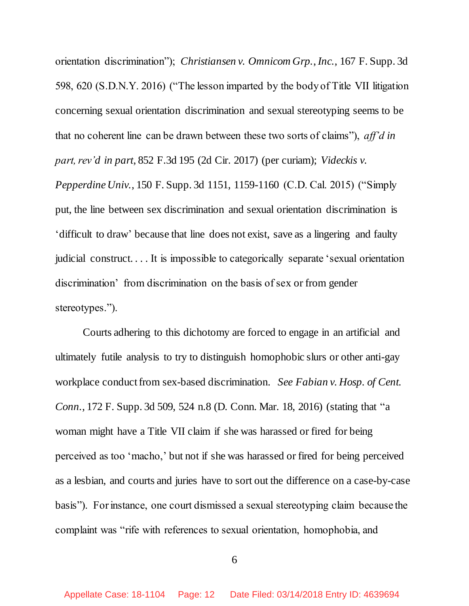orientation discrimination"); *Christiansen v. Omnicom Grp.*, *Inc.*, 167 F. Supp. 3d 598, 620 (S.D.N.Y. 2016) ("The lesson imparted by the body of Title VII litigation concerning sexual orientation discrimination and sexual stereotyping seems to be that no coherent line can be drawn between these two sorts of claims"), *aff'd in part, rev'd in part*, 852 F.3d 195 (2d Cir. 2017) (per curiam); *Videckis v. Pepperdine Univ.*, 150 F. Supp. 3d 1151, 1159-1160 (C.D. Cal. 2015) ("Simply put, the line between sex discrimination and sexual orientation discrimination is 'difficult to draw' because that line does not exist, save as a lingering and faulty judicial construct. . . . It is impossible to categorically separate 'sexual orientation discrimination' from discrimination on the basis of sex or from gender stereotypes.").

Courts adhering to this dichotomy are forced to engage in an artificial and ultimately futile analysis to try to distinguish homophobic slurs or other anti-gay workplace conduct from sex-based discrimination. *See Fabian v. Hosp. of Cent. Conn.*, 172 F. Supp. 3d 509, 524 n.8 (D. Conn. Mar. 18, 2016) (stating that "a woman might have a Title VII claim if she was harassed or fired for being perceived as too 'macho,' but not if she was harassed or fired for being perceived as a lesbian, and courts and juries have to sort out the difference on a case-by-case basis"). For instance, one court dismissed a sexual stereotyping claim because the complaint was "rife with references to sexual orientation, homophobia, and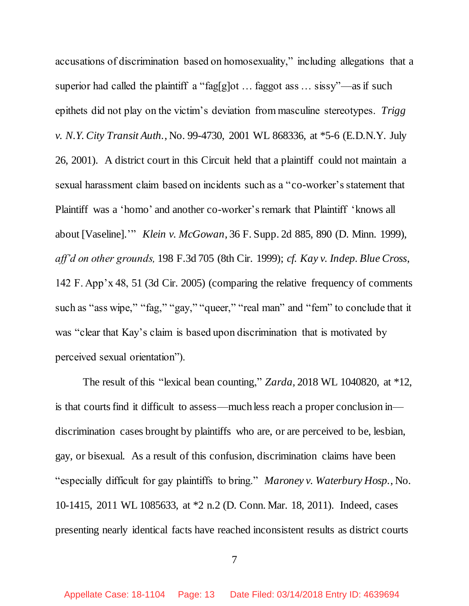accusations of discrimination based on homosexuality," including allegations that a superior had called the plaintiff a "fag[g]ot ... faggot ass ... sissy"—as if such epithets did not play on the victim's deviation from masculine stereotypes. *Trigg v. N.Y. City Transit Auth.*, No. 99-4730, 2001 WL 868336, at \*5-6 (E.D.N.Y. July 26, 2001). A district court in this Circuit held that a plaintiff could not maintain a sexual harassment claim based on incidents such as a "co-worker's statement that Plaintiff was a 'homo' and another co-worker's remark that Plaintiff 'knows all about [Vaseline].'" *Klein v. McGowan*, 36 F. Supp. 2d 885, 890 (D. Minn. 1999), *aff'd on other grounds,* 198 F.3d 705 (8th Cir. 1999); *cf. Kay v. Indep. Blue Cross*, 142 F. App'x 48, 51 (3d Cir. 2005) (comparing the relative frequency of comments such as "ass wipe," "fag," "gay," "queer," "real man" and "fem" to conclude that it was "clear that Kay's claim is based upon discrimination that is motivated by perceived sexual orientation").

The result of this "lexical bean counting," *Zarda,* 2018 WL 1040820, at \*12, is that courts find it difficult to assess—much less reach a proper conclusion in discrimination cases brought by plaintiffs who are, or are perceived to be, lesbian, gay, or bisexual. As a result of this confusion, discrimination claims have been "especially difficult for gay plaintiffs to bring." *Maroney v. Waterbury Hosp.*, No. 10-1415, 2011 WL 1085633, at \*2 n.2 (D. Conn. Mar. 18, 2011). Indeed, cases presenting nearly identical facts have reached inconsistent results as district courts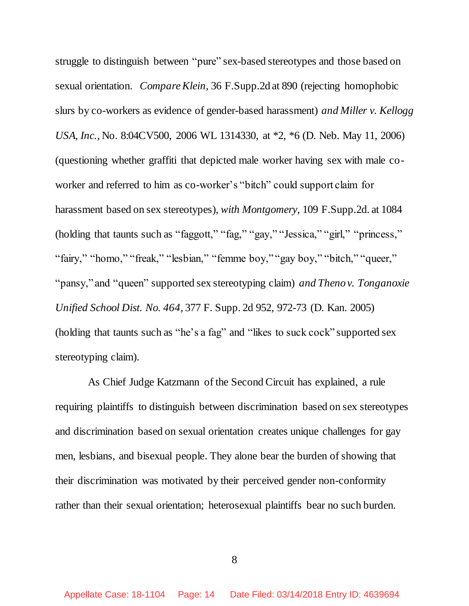struggle to distinguish between "pure" sex-based stereotypes and those based on sexual orientation. *Compare Klein*, 36 F.Supp.2d at 890 (rejecting homophobic slurs by co-workers as evidence of gender-based harassment) *and Miller v. Kellogg USA, Inc.*, No. 8:04CV500, 2006 WL 1314330, at \*2, \*6 (D. Neb. May 11, 2006) (questioning whether graffiti that depicted male worker having sex with male coworker and referred to him as co-worker's "bitch" could support claim for harassment based on sex stereotypes), *with Montgomery*, 109 F.Supp.2d. at 1084 (holding that taunts such as "faggott," "fag," "gay," "Jessica," "girl," "princess," "fairy," "homo," "freak," "lesbian," "femme boy," "gay boy," "bitch," "queer," "pansy," and "queen" supported sex stereotyping claim) *and Theno v. Tonganoxie Unified School Dist. No. 464*, 377 F. Supp. 2d 952, 972-73 (D. Kan. 2005) (holding that taunts such as "he's a fag" and "likes to suck cock" supported sex stereotyping claim).

 As Chief Judge Katzmann of the Second Circuit has explained, a rule requiring plaintiffs to distinguish between discrimination based on sex stereotypes and discrimination based on sexual orientation creates unique challenges for gay men, lesbians, and bisexual people. They alone bear the burden of showing that their discrimination was motivated by their perceived gender non-conformity rather than their sexual orientation; heterosexual plaintiffs bear no such burden.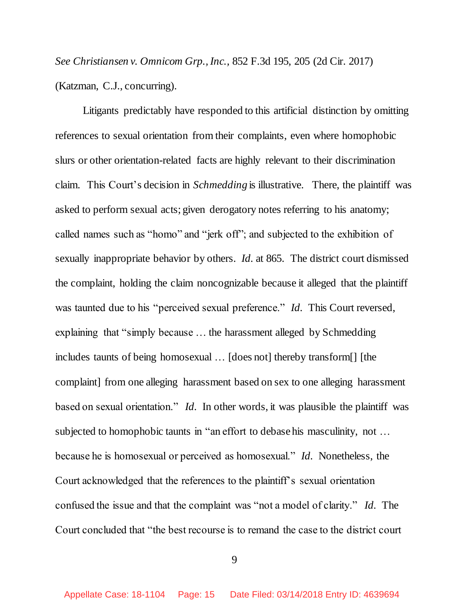*See Christiansen v. Omnicom Grp., Inc.,* 852 F.3d 195, 205 (2d Cir. 2017) (Katzman, C.J., concurring).

Litigants predictably have responded to this artificial distinction by omitting references to sexual orientation from their complaints, even where homophobic slurs or other orientation-related facts are highly relevant to their discrimination claim. This Court's decision in *Schmedding* is illustrative. There, the plaintiff was asked to perform sexual acts; given derogatory notes referring to his anatomy; called names such as "homo" and "jerk off"; and subjected to the exhibition of sexually inappropriate behavior by others. *Id.* at 865. The district court dismissed the complaint, holding the claim noncognizable because it alleged that the plaintiff was taunted due to his "perceived sexual preference." *Id.* This Court reversed, explaining that "simply because … the harassment alleged by Schmedding includes taunts of being homosexual … [does not] thereby transform[] [the complaint] from one alleging harassment based on sex to one alleging harassment based on sexual orientation." *Id.* In other words, it was plausible the plaintiff was subjected to homophobic taunts in "an effort to debase his masculinity, not … because he is homosexual or perceived as homosexual." *Id.* Nonetheless, the Court acknowledged that the references to the plaintiff's sexual orientation confused the issue and that the complaint was "not a model of clarity." *Id.* The Court concluded that "the best recourse is to remand the case to the district court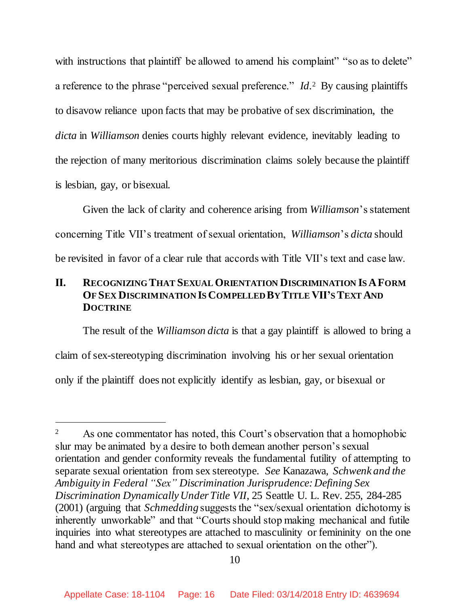with instructions that plaintiff be allowed to amend his complaint" "so as to delete" a reference to the phrase "perceived sexual preference." *Id*.<sup>2</sup> By causing plaintiffs to disavow reliance upon facts that may be probative of sex discrimination, the *dicta* in *Williamson* denies courts highly relevant evidence, inevitably leading to the rejection of many meritorious discrimination claims solely because the plaintiff is lesbian, gay, or bisexual.

Given the lack of clarity and coherence arising from *Williamson*'s statement concerning Title VII's treatment of sexual orientation, *Williamson*'s *dicta* should be revisited in favor of a clear rule that accords with Title VII's text and case law.

## **II. RECOGNIZING THAT SEXUAL ORIENTATION DISCRIMINATION IS AFORM OF SEX DISCRIMINATION IS COMPELLED BY TITLE VII'S TEXT AND DOCTRINE**

The result of the *Williamson dicta* is that a gay plaintiff is allowed to bring a claim of sex-stereotyping discrimination involving his or her sexual orientation only if the plaintiff does not explicitly identify as lesbian, gay, or bisexual or

l

<sup>&</sup>lt;sup>2</sup> As one commentator has noted, this Court's observation that a homophobic slur may be animated by a desire to both demean another person's sexual orientation and gender conformity reveals the fundamental futility of attempting to separate sexual orientation from sex stereotype. *See* Kanazawa, *Schwenk and the Ambiguity in Federal "Sex" Discrimination Jurisprudence: Defining Sex Discrimination Dynamically Under Title VII*, 25 Seattle U. L. Rev. 255, 284-285 (2001) (arguing that *Schmedding* suggests the "sex/sexual orientation dichotomy is inherently unworkable" and that "Courts should stop making mechanical and futile inquiries into what stereotypes are attached to masculinity or femininity on the one hand and what stereotypes are attached to sexual orientation on the other").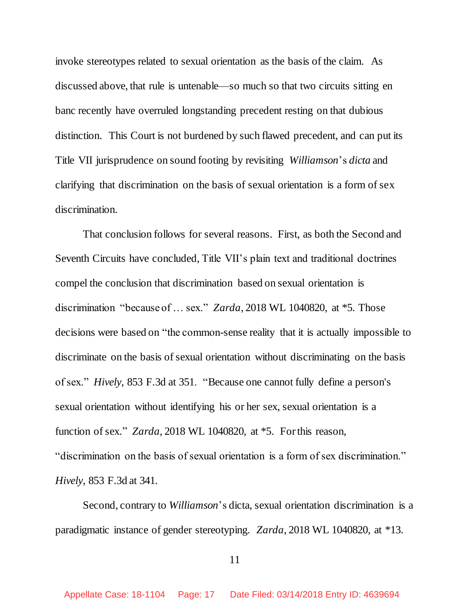invoke stereotypes related to sexual orientation as the basis of the claim. As discussed above, that rule is untenable—so much so that two circuits sitting en banc recently have overruled longstanding precedent resting on that dubious distinction. This Court is not burdened by such flawed precedent, and can put its Title VII jurisprudence on sound footing by revisiting *Williamson*'s *dicta* and clarifying that discrimination on the basis of sexual orientation is a form of sex discrimination.

That conclusion follows for several reasons. First, as both the Second and Seventh Circuits have concluded, Title VII's plain text and traditional doctrines compel the conclusion that discrimination based on sexual orientation is discrimination "because of … sex." *Zarda*, 2018 WL 1040820, at \*5. Those decisions were based on "the common-sense reality that it is actually impossible to discriminate on the basis of sexual orientation without discriminating on the basis of sex." *Hively*, 853 F.3d at 351. "Because one cannot fully define a person's sexual orientation without identifying his or her sex, sexual orientation is a function of sex." *Zarda,* 2018 WL 1040820, at \*5. For this reason, "discrimination on the basis of sexual orientation is a form of sex discrimination." *Hively*, 853 F.3d at 341.

Second, contrary to *Williamson*'s dicta, sexual orientation discrimination is a paradigmatic instance of gender stereotyping. *Zarda,* 2018 WL 1040820, at \*13.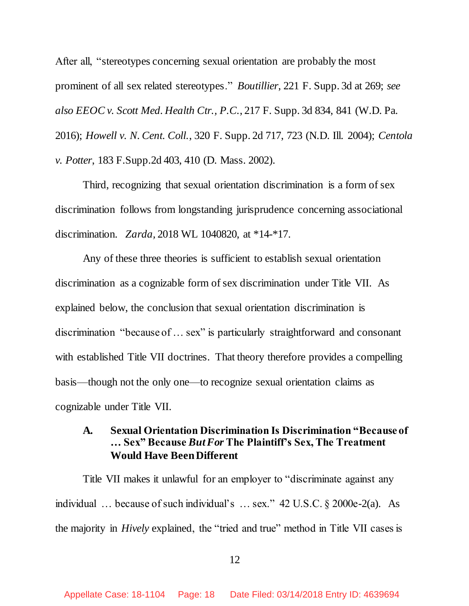After all, "stereotypes concerning sexual orientation are probably the most prominent of all sex related stereotypes." *Boutillier*, 221 F. Supp. 3d at 269; *see also EEOC v. Scott Med. Health Ctr., P.C.*, 217 F. Supp. 3d 834, 841 (W.D. Pa. 2016); *Howell v. N. Cent. Coll.*, 320 F. Supp. 2d 717, 723 (N.D. Ill. 2004); *Centola v. Potter*, 183 F.Supp.2d 403, 410 (D. Mass. 2002).

Third, recognizing that sexual orientation discrimination is a form of sex discrimination follows from longstanding jurisprudence concerning associational discrimination. *Zarda,* 2018 WL 1040820, at \*14-\*17.

Any of these three theories is sufficient to establish sexual orientation discrimination as a cognizable form of sex discrimination under Title VII. As explained below, the conclusion that sexual orientation discrimination is discrimination "because of … sex" is particularly straightforward and consonant with established Title VII doctrines. That theory therefore provides a compelling basis—though not the only one—to recognize sexual orientation claims as cognizable under Title VII.

## **A. Sexual Orientation Discrimination Is Discrimination "Because of … Sex" Because** *But For* **The Plaintiff's Sex, The Treatment Would Have Been Different**

Title VII makes it unlawful for an employer to "discriminate against any individual … because of such individual's … sex." 42 U.S.C. § 2000e-2(a). As the majority in *Hively* explained, the "tried and true" method in Title VII cases is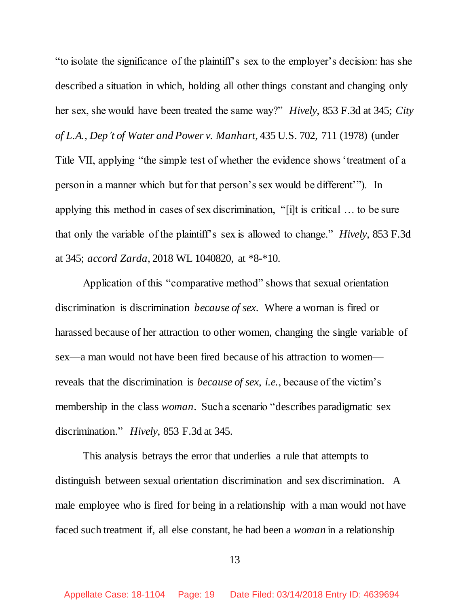"to isolate the significance of the plaintiff's sex to the employer's decision: has she described a situation in which, holding all other things constant and changing only her sex, she would have been treated the same way?" *Hively*, 853 F.3d at 345; *City of L.A., Dep't of Water and Power v. Manhart*, 435 U.S. 702, 711 (1978) (under Title VII, applying "the simple test of whether the evidence shows 'treatment of a person in a manner which but for that person's sex would be different'"). In applying this method in cases of sex discrimination, "[i]t is critical … to be sure that only the variable of the plaintiff's sex is allowed to change." *Hively*, 853 F.3d at 345; *accord Zarda,* 2018 WL 1040820, at \*8-\*10.

Application of this "comparative method" shows that sexual orientation discrimination is discrimination *because of sex*. Where a woman is fired or harassed because of her attraction to other women, changing the single variable of sex—a man would not have been fired because of his attraction to women reveals that the discrimination is *because of sex*, *i.e.*, because of the victim's membership in the class *woman*. Such a scenario "describes paradigmatic sex discrimination." *Hively*, 853 F.3d at 345.

This analysis betrays the error that underlies a rule that attempts to distinguish between sexual orientation discrimination and sex discrimination. A male employee who is fired for being in a relationship with a man would not have faced such treatment if, all else constant, he had been a *woman* in a relationship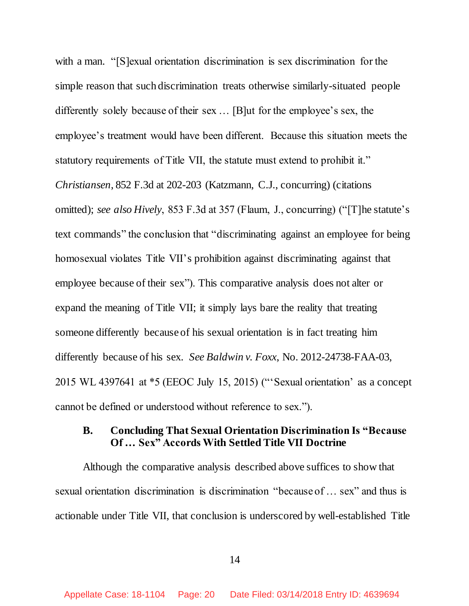with a man. "[S] exual orientation discrimination is sex discrimination for the simple reason that such discrimination treats otherwise similarly-situated people differently solely because of their sex … [B]ut for the employee's sex, the employee's treatment would have been different. Because this situation meets the statutory requirements of Title VII, the statute must extend to prohibit it." *Christiansen*, 852 F.3d at 202-203 (Katzmann, C.J., concurring) (citations omitted); *see also Hively*, 853 F.3d at 357 (Flaum, J., concurring) ("[T]he statute's text commands" the conclusion that "discriminating against an employee for being homosexual violates Title VII's prohibition against discriminating against that employee because of their sex"). This comparative analysis does not alter or expand the meaning of Title VII; it simply lays bare the reality that treating someone differently because of his sexual orientation is in fact treating him differently because of his sex. *See Baldwin v. Foxx*, No. 2012-24738-FAA-03, 2015 WL 4397641 at \*5 (EEOC July 15, 2015) ("'Sexual orientation' as a concept cannot be defined or understood without reference to sex.").

## **B. Concluding That Sexual Orientation Discrimination Is "Because Of … Sex" Accords With Settled Title VII Doctrine**

Although the comparative analysis described above suffices to show that sexual orientation discrimination is discrimination "because of … sex" and thus is actionable under Title VII, that conclusion is underscored by well-established Title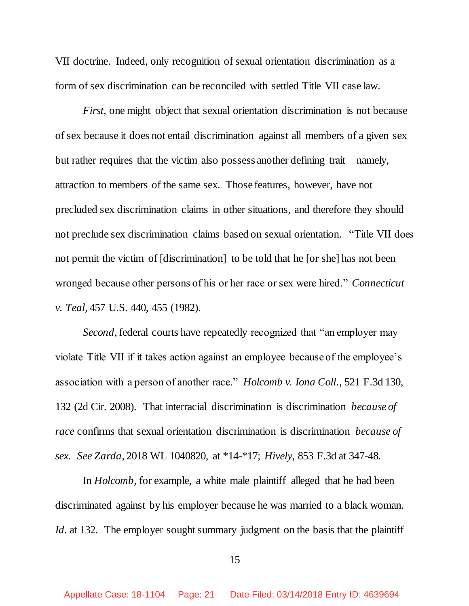VII doctrine. Indeed, only recognition of sexual orientation discrimination as a form of sex discrimination can be reconciled with settled Title VII case law.

*First*, one might object that sexual orientation discrimination is not because of sex because it does not entail discrimination against all members of a given sex but rather requires that the victim also possess another defining trait—namely, attraction to members of the same sex. Those features, however, have not precluded sex discrimination claims in other situations, and therefore they should not preclude sex discrimination claims based on sexual orientation. "Title VII does not permit the victim of [discrimination] to be told that he [or she] has not been wronged because other persons of his or her race or sex were hired." *Connecticut v. Teal*, 457 U.S. 440, 455 (1982).

*Second*, federal courts have repeatedly recognized that "an employer may violate Title VII if it takes action against an employee because of the employee's association with a person of another race." *Holcomb v. Iona Coll.*, 521 F.3d 130, 132 (2d Cir. 2008). That interracial discrimination is discrimination *because of race* confirms that sexual orientation discrimination is discrimination *because of sex*. *See Zarda*, 2018 WL 1040820, at \*14-\*17; *Hively*, 853 F.3d at 347-48.

In *Holcomb*, for example, a white male plaintiff alleged that he had been discriminated against by his employer because he was married to a black woman. *Id.* at 132. The employer sought summary judgment on the basis that the plaintiff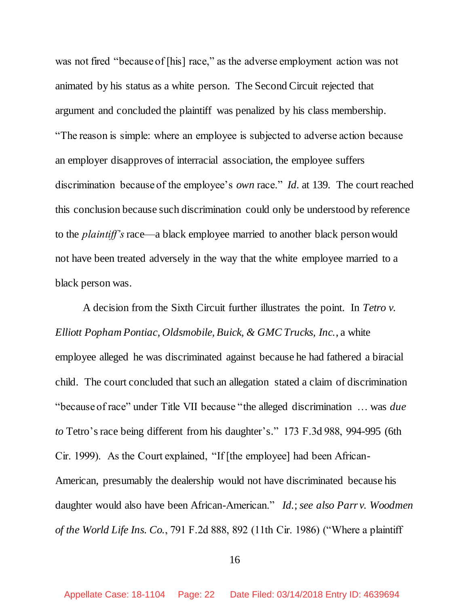was not fired "because of [his] race," as the adverse employment action was not animated by his status as a white person. The Second Circuit rejected that argument and concluded the plaintiff was penalized by his class membership. "The reason is simple: where an employee is subjected to adverse action because an employer disapproves of interracial association, the employee suffers discrimination because of the employee's *own* race." *Id.* at 139. The court reached this conclusion because such discrimination could only be understood by reference to the *plaintiff's* race—a black employee married to another black person would not have been treated adversely in the way that the white employee married to a black person was.

A decision from the Sixth Circuit further illustrates the point. In *Tetro v. Elliott Popham Pontiac, Oldsmobile, Buick, & GMC Trucks, Inc.*, a white employee alleged he was discriminated against because he had fathered a biracial child. The court concluded that such an allegation stated a claim of discrimination "because of race" under Title VII because "the alleged discrimination … was *due to* Tetro's race being different from his daughter's." 173 F.3d 988, 994-995 (6th Cir. 1999). As the Court explained, "If [the employee] had been African-American, presumably the dealership would not have discriminated because his daughter would also have been African-American." *Id.*; *see also Parr v. Woodmen of the World Life Ins. Co.*, 791 F.2d 888, 892 (11th Cir. 1986) ("Where a plaintiff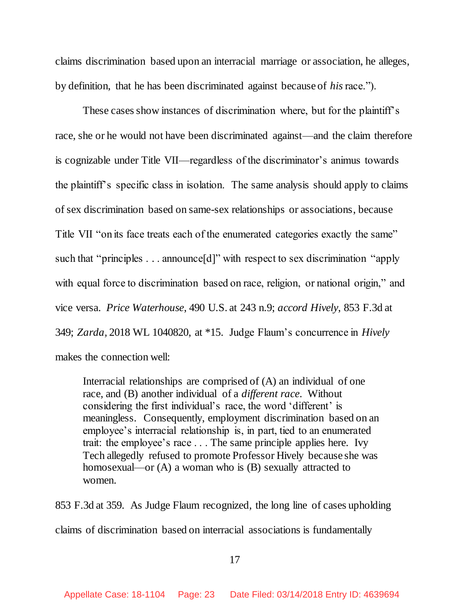claims discrimination based upon an interracial marriage or association, he alleges, by definition, that he has been discriminated against because of *his*race.").

These cases show instances of discrimination where, but for the plaintiff's race, she or he would not have been discriminated against—and the claim therefore is cognizable under Title VII—regardless of the discriminator's animus towards the plaintiff's specific class in isolation. The same analysis should apply to claims of sex discrimination based on same-sex relationships or associations, because Title VII "on its face treats each of the enumerated categories exactly the same" such that "principles . . . announce[d]" with respect to sex discrimination "apply with equal force to discrimination based on race, religion, or national origin," and vice versa. *Price Waterhouse*, 490 U.S. at 243 n.9; *accord Hively*, 853 F.3d at 349; *Zarda,* 2018 WL 1040820, at \*15. Judge Flaum's concurrence in *Hively* makes the connection well:

Interracial relationships are comprised of (A) an individual of one race, and (B) another individual of a *different race*. Without considering the first individual's race, the word 'different' is meaningless. Consequently, employment discrimination based on an employee's interracial relationship is, in part, tied to an enumerated trait: the employee's race . . . The same principle applies here. Ivy Tech allegedly refused to promote Professor Hively because she was homosexual—or (A) a woman who is (B) sexually attracted to women.

853 F.3d at 359. As Judge Flaum recognized, the long line of cases upholding claims of discrimination based on interracial associations is fundamentally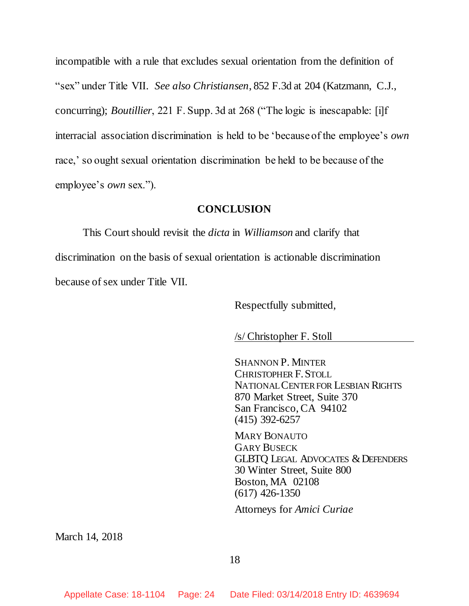incompatible with a rule that excludes sexual orientation from the definition of "sex" under Title VII. *See also Christiansen*, 852 F.3d at 204 (Katzmann, C.J., concurring); *Boutillier*, 221 F. Supp. 3d at 268 ("The logic is inescapable: [i]f interracial association discrimination is held to be 'because of the employee's *own* race,' so ought sexual orientation discrimination be held to be because of the employee's *own* sex.").

#### **CONCLUSION**

This Court should revisit the *dicta* in *Williamson* and clarify that discrimination on the basis of sexual orientation is actionable discrimination because of sex under Title VII.

Respectfully submitted,

/s/ Christopher F. Stoll

SHANNON P. MINTER CHRISTOPHER F.STOLL NATIONAL CENTER FOR LESBIAN RIGHTS 870 Market Street, Suite 370 San Francisco, CA 94102 (415) 392-6257

MARY BONAUTO GARY BUSECK GLBTQ LEGAL ADVOCATES & DEFENDERS 30 Winter Street, Suite 800 Boston, MA 02108 (617) 426-1350

Attorneys for *Amici Curiae*

March 14, 2018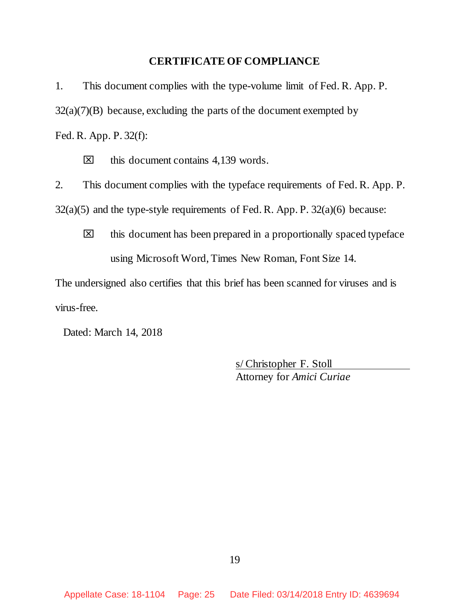## **CERTIFICATE OF COMPLIANCE**

1. This document complies with the type-volume limit of Fed. R. App. P.  $32(a)(7)(B)$  because, excluding the parts of the document exempted by Fed. R. App. P. 32(f):

 $\boxtimes$  this document contains 4,139 words.

2. This document complies with the typeface requirements of Fed. R. App. P.  $32(a)(5)$  and the type-style requirements of Fed. R. App. P.  $32(a)(6)$  because:

 $\boxtimes$  this document has been prepared in a proportionally spaced typeface using Microsoft Word, Times New Roman, Font Size 14.

The undersigned also certifies that this brief has been scanned for viruses and is virus-free.

Dated: March 14, 2018

s/ Christopher F. Stoll Attorney for *Amici Curiae*